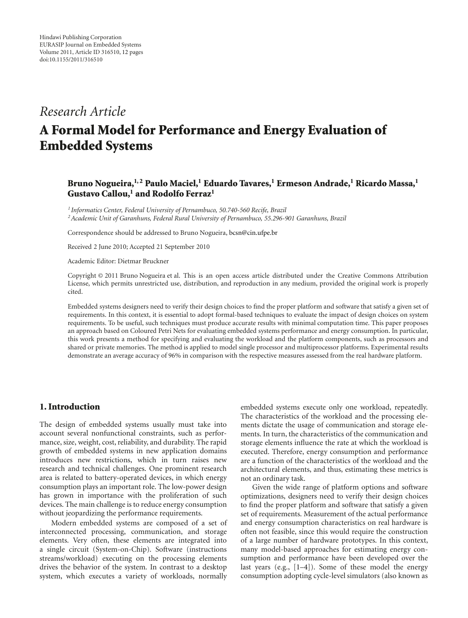## *Research Article*

# **A Formal Model for Performance and Energy Evaluation of Embedded Systems**

### **Bruno Nogueira,1, 2 Paulo Maciel,1 Eduardo Tavares,1 Ermeson Andrade,1 Ricardo Massa,1 Gustavo Callou,1 and Rodolfo Ferraz1**

*<sup>1</sup> Informatics Center, Federal University of Pernambuco, 50.740-560 Recife, Brazil 2Academic Unit of Garanhuns, Federal Rural University of Pernambuco, 55.296-901 Garanhuns, Brazil*

Correspondence should be addressed to Bruno Nogueira, bcsn@cin.ufpe.br

Received 2 June 2010; Accepted 21 September 2010

Academic Editor: Dietmar Bruckner

Copyright © 2011 Bruno Nogueira et al. This is an open access article distributed under the Creative Commons Attribution License, which permits unrestricted use, distribution, and reproduction in any medium, provided the original work is properly cited.

Embedded systems designers need to verify their design choices to find the proper platform and software that satisfy a given set of requirements. In this context, it is essential to adopt formal-based techniques to evaluate the impact of design choices on system requirements. To be useful, such techniques must produce accurate results with minimal computation time. This paper proposes an approach based on Coloured Petri Nets for evaluating embedded systems performance and energy consumption. In particular, this work presents a method for specifying and evaluating the workload and the platform components, such as processors and shared or private memories. The method is applied to model single processor and multiprocessor platforms. Experimental results demonstrate an average accuracy of 96% in comparison with the respective measures assessed from the real hardware platform.

#### **1. Introduction**

The design of embedded systems usually must take into account several nonfunctional constraints, such as performance, size, weight, cost, reliability, and durability. The rapid growth of embedded systems in new application domains introduces new restrictions, which in turn raises new research and technical challenges. One prominent research area is related to battery-operated devices, in which energy consumption plays an important role. The low-power design has grown in importance with the proliferation of such devices. The main challenge is to reduce energy consumption without jeopardizing the performance requirements.

Modern embedded systems are composed of a set of interconnected processing, communication, and storage elements. Very often, these elements are integrated into a single circuit (System-on-Chip). Software (instructions streams/workload) executing on the processing elements drives the behavior of the system. In contrast to a desktop system, which executes a variety of workloads, normally

embedded systems execute only one workload, repeatedly. The characteristics of the workload and the processing elements dictate the usage of communication and storage elements. In turn, the characteristics of the communication and storage elements influence the rate at which the workload is executed. Therefore, energy consumption and performance are a function of the characteristics of the workload and the architectural elements, and thus, estimating these metrics is not an ordinary task.

Given the wide range of platform options and software optimizations, designers need to verify their design choices to find the proper platform and software that satisfy a given set of requirements. Measurement of the actual performance and energy consumption characteristics on real hardware is often not feasible, since this would require the construction of a large number of hardware prototypes. In this context, many model-based approaches for estimating energy consumption and performance have been developed over the last years (e.g., [1–4]). Some of these model the energy consumption adopting cycle-level simulators (also known as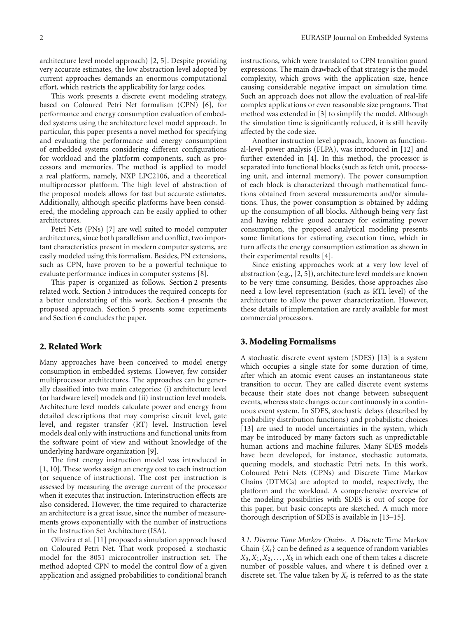architecture level model approach) [2, 5]. Despite providing very accurate estimates, the low abstraction level adopted by current approaches demands an enormous computational effort, which restricts the applicability for large codes.

This work presents a discrete event modeling strategy, based on Coloured Petri Net formalism (CPN) [6], for performance and energy consumption evaluation of embedded systems using the architecture level model approach. In particular, this paper presents a novel method for specifying and evaluating the performance and energy consumption of embedded systems considering different configurations for workload and the platform components, such as processors and memories. The method is applied to model a real platform, namely, NXP LPC2106, and a theoretical multiprocessor platform. The high level of abstraction of the proposed models allows for fast but accurate estimates. Additionally, although specific platforms have been considered, the modeling approach can be easily applied to other architectures.

Petri Nets (PNs) [7] are well suited to model computer architectures, since both parallelism and conflict, two important characteristics present in modern computer systems, are easily modeled using this formalism. Besides, PN extensions, such as CPN, have proven to be a powerful technique to evaluate performance indices in computer systems [8].

This paper is organized as follows. Section 2 presents related work. Section 3 introduces the required concepts for a better understating of this work. Section 4 presents the proposed approach. Section 5 presents some experiments and Section 6 concludes the paper.

#### **2. Related Work**

Many approaches have been conceived to model energy consumption in embedded systems. However, few consider multiprocessor architectures. The approaches can be generally classified into two main categories: (i) architecture level (or hardware level) models and (ii) instruction level models. Architecture level models calculate power and energy from detailed descriptions that may comprise circuit level, gate level, and register transfer (RT) level. Instruction level models deal only with instructions and functional units from the software point of view and without knowledge of the underlying hardware organization [9].

The first energy instruction model was introduced in [1, 10]. These works assign an energy cost to each instruction (or sequence of instructions). The cost per instruction is assessed by measuring the average current of the processor when it executes that instruction. Interinstruction effects are also considered. However, the time required to characterize an architecture is a great issue, since the number of measurements grows exponentially with the number of instructions in the Instruction Set Architecture (ISA).

Oliveira et al. [11] proposed a simulation approach based on Coloured Petri Net. That work proposed a stochastic model for the 8051 microcontroller instruction set. The method adopted CPN to model the control flow of a given application and assigned probabilities to conditional branch

instructions, which were translated to CPN transition guard expressions. The main drawback of that strategy is the model complexity, which grows with the application size, hence causing considerable negative impact on simulation time. Such an approach does not allow the evaluation of real-life complex applications or even reasonable size programs. That method was extended in [3] to simplify the model. Although the simulation time is significantly reduced, it is still heavily affected by the code size.

Another instruction level approach, known as functional-level power analysis (FLPA), was introduced in [12] and further extended in [4]. In this method, the processor is separated into functional blocks (such as fetch unit, processing unit, and internal memory). The power consumption of each block is characterized through mathematical functions obtained from several measurements and/or simulations. Thus, the power consumption is obtained by adding up the consumption of all blocks. Although being very fast and having relative good accuracy for estimating power consumption, the proposed analytical modeling presents some limitations for estimating execution time, which in turn affects the energy consumption estimation as shown in their experimental results [4].

Since existing approaches work at a very low level of abstraction (e.g., [2, 5]), architecture level models are known to be very time consuming. Besides, those approaches also need a low-level representation (such as RTL level) of the architecture to allow the power characterization. However, these details of implementation are rarely available for most commercial processors.

#### **3. Modeling Formalisms**

A stochastic discrete event system (SDES) [13] is a system which occupies a single state for some duration of time, after which an atomic event causes an instantaneous state transition to occur. They are called discrete event systems because their state does not change between subsequent events, whereas state changes occur continuously in a continuous event system. In SDES, stochastic delays (described by probability distribution functions) and probabilistic choices [13] are used to model uncertainties in the system, which may be introduced by many factors such as unpredictable human actions and machine failures. Many SDES models have been developed, for instance, stochastic automata, queuing models, and stochastic Petri nets. In this work, Coloured Petri Nets (CPNs) and Discrete Time Markov Chains (DTMCs) are adopted to model, respectively, the platform and the workload. A comprehensive overview of the modeling possibilities with SDES is out of scope for this paper, but basic concepts are sketched. A much more thorough description of SDES is available in [13–15].

*3.1. Discrete Time Markov Chains.* A Discrete Time Markov Chain  $\{X_t\}$  can be defined as a sequence of random variables  $X_0, X_1, X_2, \ldots, X_k$  in which each one of them takes a discrete number of possible values, and where t is defined over a discrete set. The value taken by  $X_t$  is referred to as the state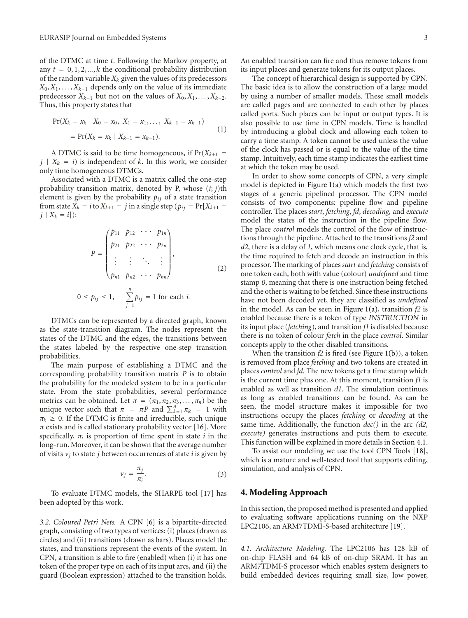of the DTMC at time *t*. Following the Markov property, at any  $t = 0, 1, 2, \dots, k$  the conditional probability distribution of the random variable  $X_k$  given the values of its predecessors  $X_0, X_1, \ldots, X_{k-1}$  depends only on the value of its immediate predecessor  $X_{k-1}$  but not on the values of  $X_0, X_1, \ldots, X_{k-2}$ . Thus, this property states that

$$
Pr(X_k = x_k | X_0 = x_0, X_1 = x_1, ..., X_{k-1} = x_{k-1})
$$
  
= 
$$
Pr(X_k = x_k | X_{k-1} = x_{k-1}).
$$
 (1)

A DTMC is said to be time homogeneous, if  $Pr(X_{k+1} =$  $j \mid X_k = i$  is independent of *k*. In this work, we consider only time homogeneous DTMCs.

Associated with a DTMC is a matrix called the one-step probability transition matrix, denoted by P, whose (*i*; *j*)th element is given by the probability  $p_{ij}$  of a state transition from state  $X_k = i$  to  $X_{k+1} = j$  in a single step ( $p_{ij} = Pr[X_{k+1} = j]$  $j | X_k = i]$ :

$$
P = \begin{pmatrix} p_{11} & p_{12} & \cdots & p_{1n} \\ p_{21} & p_{22} & \cdots & p_{2n} \\ \vdots & \vdots & \ddots & \vdots \\ p_{n1} & p_{n2} & \cdots & p_{nn} \end{pmatrix},
$$
 (2)

$$
0 \le p_{ij} \le 1, \quad \sum_{j=1}^n p_{ij} = 1 \text{ for each } i.
$$

DTMCs can be represented by a directed graph, known as the state-transition diagram. The nodes represent the states of the DTMC and the edges, the transitions between the states labeled by the respective one-step transition probabilities.

The main purpose of establishing a DTMC and the corresponding probability transition matrix *P* is to obtain the probability for the modeled system to be in a particular state. From the state probabilities, several performance metrics can be obtained. Let  $\pi = (\pi_1, \pi_2, \pi_3, \dots, \pi_n)$  be the unique vector such that  $\pi = \pi P$  and  $\sum_{k=1}^{n} \pi_k = 1$  with  $\pi_k \geq 0$ . If the DTMC is finite and irreducible, such unique  $\pi$  exists and is called stationary probability vector [16]. More specifically,  $\pi_i$  is proportion of time spent in state *i* in the long-run. Moreover, it can be shown that the average number of visits  $v_i$  to state *j* between occurrences of state *i* is given by

$$
v_j = \frac{\pi_j}{\pi_i}.\tag{3}
$$

To evaluate DTMC models, the SHARPE tool [17] has been adopted by this work.

*3.2. Coloured Petri Nets.* A CPN [6] is a bipartite-directed graph, consisting of two types of vertices: (i) places (drawn as circles) and (ii) transitions (drawn as bars). Places model the states, and transitions represent the events of the system. In CPN, a transition is able to fire (enabled) when (i) it has one token of the proper type on each of its input arcs, and (ii) the guard (Boolean expression) attached to the transition holds.

An enabled transition can fire and thus remove tokens from its input places and generate tokens for its output places.

The concept of hierarchical design is supported by CPN. The basic idea is to allow the construction of a large model by using a number of smaller models. These small models are called pages and are connected to each other by places called ports. Such places can be input or output types. It is also possible to use time in CPN models. Time is handled by introducing a global clock and allowing each token to carry a time stamp. A token cannot be used unless the value of the clock has passed or is equal to the value of the time stamp. Intuitively, each time stamp indicates the earliest time at which the token may be used.

In order to show some concepts of CPN, a very simple model is depicted in Figure 1(a) which models the first two stages of a generic pipelined processor. The CPN model consists of two components: pipeline flow and pipeline controller. The places *start*, *fetching*, *fd*, *decoding,* and *execute* model the states of the instruction in the pipeline flow. The place *control* models the control of the flow of instructions through the pipeline. Attached to the transitions *f2* and *d2*, there is a delay of *1*, which means one clock cycle, that is, the time required to fetch and decode an instruction in this processor. The marking of places*start* and *fetching* consists of one token each, both with value (colour) *undefined* and time stamp *0*, meaning that there is one instruction being fetched and the other is waiting to be fetched. Since these instructions have not been decoded yet, they are classified as *undefined* in the model. As can be seen in Figure 1(a), transition *f2* is enabled because there is a token of type *INSTRUCTION* in its input place (*fetching*), and transition *f1* is disabled because there is no token of colour *fetch* in the place *control*. Similar concepts apply to the other disabled transitions.

When the transition  $f2$  is fired (see Figure 1(b)), a token is removed from place *fetching* and two tokens are created in places *control* and *fd*. The new tokens get a time stamp which is the current time plus one. At this moment, transition *f1* is enabled as well as transition *d1*. The simulation continues as long as enabled transitions can be found. As can be seen, the model structure makes it impossible for two instructions occupy the places *fetching* or *decoding* at the same time. Additionally, the function *dec()* in the arc *(d2, execute)* generates instructions and puts them to execute. This function will be explained in more details in Section 4.1.

To assist our modeling we use the tool CPN Tools [18], which is a mature and well-tested tool that supports editing, simulation, and analysis of CPN.

#### **4. Modeling Approach**

In this section, the proposed method is presented and applied to evaluating software applications running on the NXP LPC2106, an ARM7TDMI-S-based architecture [19].

*4.1. Architecture Modeling.* The LPC2106 has 128 kB of on-chip FLASH and 64 kB of on-chip SRAM. It has an ARM7TDMI-S processor which enables system designers to build embedded devices requiring small size, low power,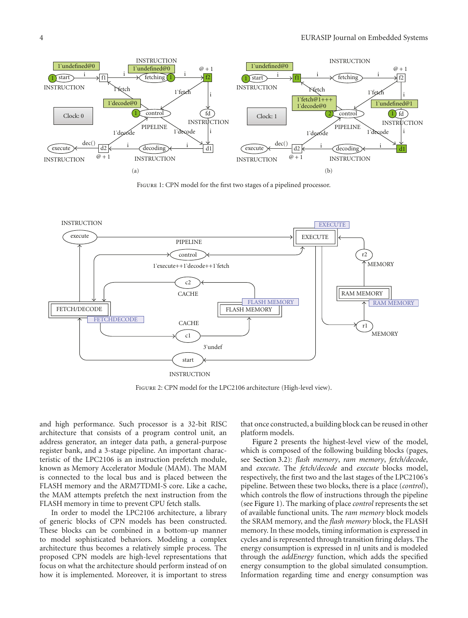

Figure 1: CPN model for the first two stages of a pipelined processor.



Figure 2: CPN model for the LPC2106 architecture (High-level view).

and high performance. Such processor is a 32-bit RISC architecture that consists of a program control unit, an address generator, an integer data path, a general-purpose register bank, and a 3-stage pipeline. An important characteristic of the LPC2106 is an instruction prefetch module, known as Memory Accelerator Module (MAM). The MAM is connected to the local bus and is placed between the FLASH memory and the ARM7TDMI-S core. Like a cache, the MAM attempts prefetch the next instruction from the FLASH memory in time to prevent CPU fetch stalls.

In order to model the LPC2106 architecture, a library of generic blocks of CPN models has been constructed. These blocks can be combined in a bottom-up manner to model sophisticated behaviors. Modeling a complex architecture thus becomes a relatively simple process. The proposed CPN models are high-level representations that focus on what the architecture should perform instead of on how it is implemented. Moreover, it is important to stress

that once constructed, a building block can be reused in other platform models.

Figure 2 presents the highest-level view of the model, which is composed of the following building blocks (pages, see Section 3.2): *flash memory*, *ram memory*, *fetch/decode*, and *execute*. The *fetch/decode* and *execute* blocks model, respectively, the first two and the last stages of the LPC2106's pipeline. Between these two blocks, there is a place (*control*), which controls the flow of instructions through the pipeline (see Figure 1). The marking of place *control* represents the set of available functional units. The *ram memory* block models the SRAM memory, and the *flash memory* block, the FLASH memory. In these models, timing information is expressed in cycles and is represented through transition firing delays. The energy consumption is expressed in nJ units and is modeled through the *addEnergy* function, which adds the specified energy consumption to the global simulated consumption. Information regarding time and energy consumption was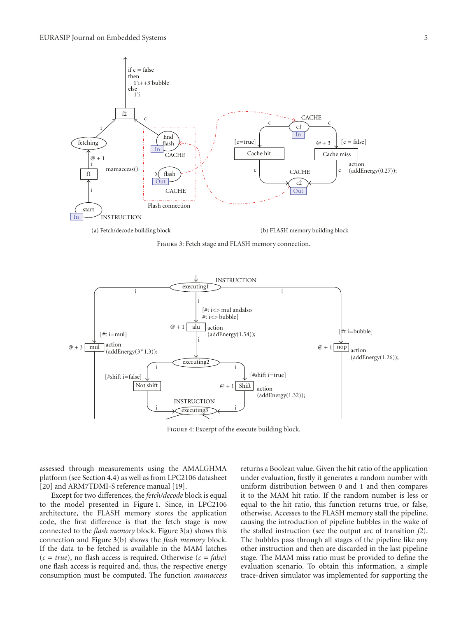

Figure 3: Fetch stage and FLASH memory connection.



Figure 4: Excerpt of the execute building block.

assessed through measurements using the AMALGHMA platform (see Section 4.4) as well as from LPC2106 datasheet [20] and ARM7TDMI-S reference manual [19].

Except for two differences, the *fetch/decode* block is equal to the model presented in Figure 1. Since, in LPC2106 architecture, the FLASH memory stores the application code, the first difference is that the fetch stage is now connected to the *flash memory* block. Figure 3(a) shows this connection and Figure 3(b) shows the *flash memory* block. If the data to be fetched is available in the MAM latches (*c = true*), no flash access is required. Otherwise (*c = false*) one flash access is required and, thus, the respective energy consumption must be computed. The function *mamaccess*

returns a Boolean value. Given the hit ratio of the application under evaluation, firstly it generates a random number with uniform distribution between 0 and 1 and then compares it to the MAM hit ratio. If the random number is less or equal to the hit ratio, this function returns true, or false, otherwise. Accesses to the FLASH memory stall the pipeline, causing the introduction of pipeline bubbles in the wake of the stalled instruction (see the output arc of transition *f2*). The bubbles pass through all stages of the pipeline like any other instruction and then are discarded in the last pipeline stage. The MAM miss ratio must be provided to define the evaluation scenario. To obtain this information, a simple trace-driven simulator was implemented for supporting the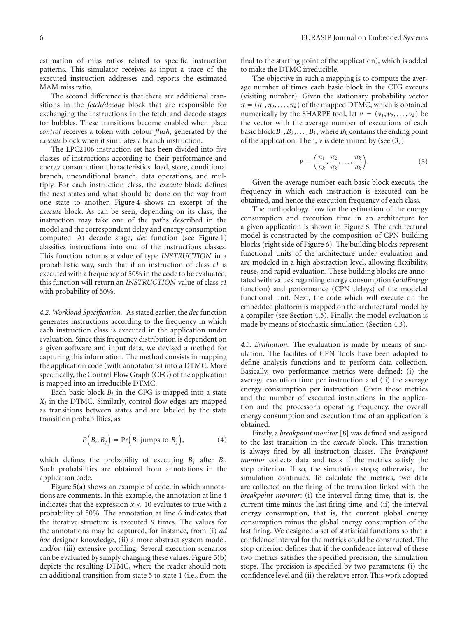estimation of miss ratios related to specific instruction patterns. This simulator receives as input a trace of the executed instruction addresses and reports the estimated MAM miss ratio.

The second difference is that there are additional transitions in the *fetch/decode* block that are responsible for exchanging the instructions in the fetch and decode stages for bubbles. These transitions become enabled when place *control* receives a token with colour *flush*, generated by the *execute* block when it simulates a branch instruction.

The LPC2106 instruction set has been divided into five classes of instructions according to their performance and energy consumption characteristics: load, store, conditional branch, unconditional branch, data operations, and multiply. For each instruction class, the *execute* block defines the next states and what should be done on the way from one state to another. Figure 4 shows an excerpt of the *execute* block. As can be seen, depending on its class, the instruction may take one of the paths described in the model and the correspondent delay and energy consumption computed. At decode stage, *dec* function (see Figure 1) classifies instructions into one of the instructions classes. This function returns a value of type *INSTRUCTION* in a probabilistic way, such that if an instruction of class *c1* is executed with a frequency of 50% in the code to be evaluated, this function will return an *INSTRUCTION* value of class *c1* with probability of 50%.

*4.2. Workload Specification.* As stated earlier, the *dec* function generates instructions according to the frequency in which each instruction class is executed in the application under evaluation. Since this frequency distribution is dependent on a given software and input data, we devised a method for capturing this information. The method consists in mapping the application code (with annotations) into a DTMC. More specifically, the Control Flow Graph (CFG) of the application is mapped into an irreducible DTMC.

Each basic block  $B_i$  in the CFG is mapped into a state *Xi* in the DTMC. Similarly, control flow edges are mapped as transitions between states and are labeled by the state transition probabilities, as

$$
P(B_i, B_j) = \Pr(B_i \text{ jumps to } B_j), \tag{4}
$$

which defines the probability of executing  $B_i$  after  $B_i$ . Such probabilities are obtained from annotations in the application code.

Figure 5(a) shows an example of code, in which annotations are comments. In this example, the annotation at line 4 indicates that the expression  $x < 10$  evaluates to true with a probability of 50%. The annotation at line 6 indicates that the iterative structure is executed 9 times. The values for the annotations may be captured, for instance, from (i) *ad hoc* designer knowledge, (ii) a more abstract system model, and/or (iii) extensive profiling. Several execution scenarios can be evaluated by simply changing these values. Figure 5(b) depicts the resulting DTMC, where the reader should note an additional transition from state 5 to state 1 (i.e., from the

final to the starting point of the application), which is added to make the DTMC irreducible.

The objective in such a mapping is to compute the average number of times each basic block in the CFG executs (visiting number). Given the stationary probability vector  $\pi = (\pi_1, \pi_2, \dots, \pi_k)$  of the mapped DTMC, which is obtained numerically by the SHARPE tool, let  $v = (v_1, v_2, \dots, v_k)$  be the vector with the average number of executions of each basic block  $B_1, B_2, \ldots, B_k$ , where  $B_k$  contains the ending point of the application. Then,  $\nu$  is determined by (see (3))

$$
\nu = \left(\frac{\pi_1}{\pi_k}, \frac{\pi_2}{\pi_k}, \dots, \frac{\pi_k}{\pi_k}\right). \tag{5}
$$

Given the average number each basic block executs, the frequency in which each instruction is executed can be obtained, and hence the execution frequency of each class.

The methodology flow for the estimation of the energy consumption and execution time in an architecture for a given application is shown in Figure 6. The architectural model is constructed by the composition of CPN building blocks (right side of Figure 6). The building blocks represent functional units of the architecture under evaluation and are modeled in a high abstraction level, allowing flexibility, reuse, and rapid evaluation. These building blocks are annotated with values regarding energy consumption (*addEnergy* function) and performance (CPN delays) of the modeled functional unit. Next, the code which will execute on the embedded platform is mapped on the architectural model by a compiler (see Section 4.5). Finally, the model evaluation is made by means of stochastic simulation (Section 4.3).

*4.3. Evaluation.* The evaluation is made by means of simulation. The facilites of CPN Tools have been adopted to define analysis functions and to perform data collection. Basically, two performance metrics were defined: (i) the average execution time per instruction and (ii) the average energy consumption per instruction. Given these metrics and the number of executed instructions in the application and the processor's operating frequency, the overall energy consumption and execution time of an application is obtained.

Firstly, a *breakpoint monitor* [8] was defined and assigned to the last transition in the *execute* block. This transition is always fired by all instruction classes. The *breakpoint monitor* collects data and tests if the metrics satisfy the stop criterion. If so, the simulation stops; otherwise, the simulation continues. To calculate the metrics, two data are collected on the firing of the transition linked with the *breakpoint monitor*: (i) the interval firing time, that is, the current time minus the last firing time, and (ii) the interval energy consumption, that is, the current global energy consumption minus the global energy consumption of the last firing. We designed a set of statistical functions so that a confidence interval for the metrics could be constructed. The stop criterion defines that if the confidence interval of these two metrics satisfies the specified precision, the simulation stops. The precision is specified by two parameters: (i) the confidence level and (ii) the relative error. This work adopted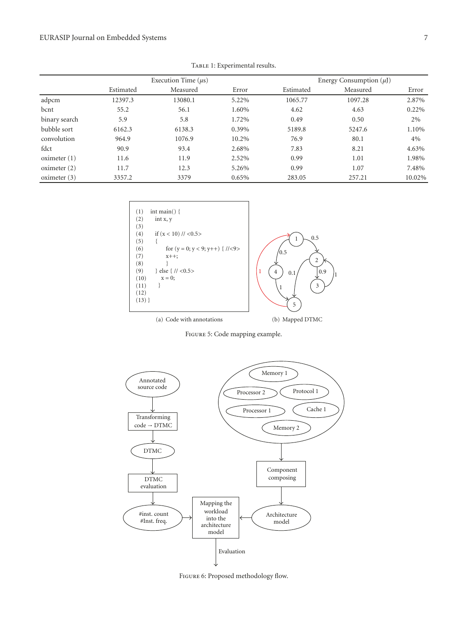|               | Execution Time $(\mu s)$ |          |          | Energy Consumption $(\mu J)$ |          |        |
|---------------|--------------------------|----------|----------|------------------------------|----------|--------|
|               | Estimated                | Measured | Error    | Estimated                    | Measured | Error  |
| adpcm         | 12397.3                  | 13080.1  | 5.22%    | 1065.77                      | 1097.28  | 2.87%  |
| bcnt          | 55.2                     | 56.1     | 1.60%    | 4.62                         | 4.63     | 0.22%  |
| binary search | 5.9                      | 5.8      | 1.72%    | 0.49                         | 0.50     | 2%     |
| bubble sort   | 6162.3                   | 6138.3   | 0.39%    | 5189.8                       | 5247.6   | 1.10%  |
| convolution   | 964.9                    | 1076.9   | 10.2%    | 76.9                         | 80.1     | 4%     |
| fdct          | 90.9                     | 93.4     | 2.68%    | 7.83                         | 8.21     | 4.63%  |
| oximeter(1)   | 11.6                     | 11.9     | 2.52%    | 0.99                         | 1.01     | 1.98%  |
| oximeter(2)   | 11.7                     | 12.3     | 5.26%    | 0.99                         | 1.07     | 7.48%  |
| oximeter(3)   | 3357.2                   | 3379     | $0.65\%$ | 283.05                       | 257.21   | 10.02% |

TABLE 1: Experimental results.





(a) Code with annotations

Figure 5: Code mapping example.



FIGURE 6: Proposed methodology flow.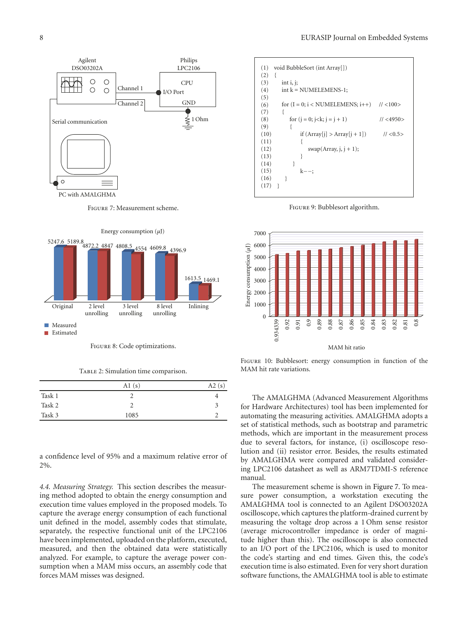

Figure 7: Measurement scheme.



Figure 8: Code optimizations.

TABLE 2: Simulation time comparison.

|        | A1(s) | A2(s) |
|--------|-------|-------|
| Task 1 |       | 4     |
| Task 2 |       | 3     |
| Task 3 | 1085  |       |

a confidence level of 95% and a maximum relative error of 2%.

*4.4. Measuring Strategy.* This section describes the measuring method adopted to obtain the energy consumption and execution time values employed in the proposed models. To capture the average energy consumption of each functional unit defined in the model, assembly codes that stimulate, separately, the respective functional unit of the LPC2106 have been implemented, uploaded on the platform, executed, measured, and then the obtained data were statistically analyzed. For example, to capture the average power consumption when a MAM miss occurs, an assembly code that forces MAM misses was designed.



Figure 9: Bubblesort algorithm.



Figure 10: Bubblesort: energy consumption in function of the MAM hit rate variations.

The AMALGHMA (Advanced Measurement Algorithms for Hardware Architectures) tool has been implemented for automating the measuring activities. AMALGHMA adopts a set of statistical methods, such as bootstrap and parametric methods, which are important in the measurement process due to several factors, for instance, (i) oscilloscope resolution and (ii) resistor error. Besides, the results estimated by AMALGHMA were compared and validated considering LPC2106 datasheet as well as ARM7TDMI-S reference manual.

The measurement scheme is shown in Figure 7. To measure power consumption, a workstation executing the AMALGHMA tool is connected to an Agilent DSO03202A oscilloscope, which captures the platform-drained current by measuring the voltage drop across a 1 Ohm sense resistor (average microcontroller impedance is order of magnitude higher than this). The oscilloscope is also connected to an I/O port of the LPC2106, which is used to monitor the code's starting and end times. Given this, the code's execution time is also estimated. Even for very short duration software functions, the AMALGHMA tool is able to estimate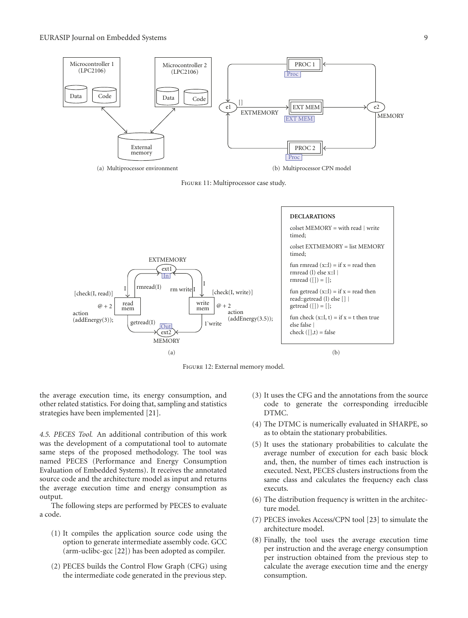

Figure 11: Multiprocessor case study.



Figure 12: External memory model.

the average execution time, its energy consumption, and other related statistics. For doing that, sampling and statistics strategies have been implemented [21].

*4.5. PECES Tool.* An additional contribution of this work was the development of a computational tool to automate same steps of the proposed methodology. The tool was named PECES (Performance and Energy Consumption Evaluation of Embedded Systems). It receives the annotated source code and the architecture model as input and returns the average execution time and energy consumption as output.

The following steps are performed by PECES to evaluate a code.

- (1) It compiles the application source code using the option to generate intermediate assembly code. GCC (arm-uclibc-gcc [22]) has been adopted as compiler.
- (2) PECES builds the Control Flow Graph (CFG) using the intermediate code generated in the previous step.
- (3) It uses the CFG and the annotations from the source code to generate the corresponding irreducible DTMC.
- (4) The DTMC is numerically evaluated in SHARPE, so as to obtain the stationary probabilities.
- (5) It uses the stationary probabilities to calculate the average number of execution for each basic block and, then, the number of times each instruction is executed. Next, PECES clusters instructions from the same class and calculates the frequency each class executs.
- (6) The distribution frequency is written in the architecture model.
- (7) PECES invokes Access/CPN tool [23] to simulate the architecture model.
- (8) Finally, the tool uses the average execution time per instruction and the average energy consumption per instruction obtained from the previous step to calculate the average execution time and the energy consumption.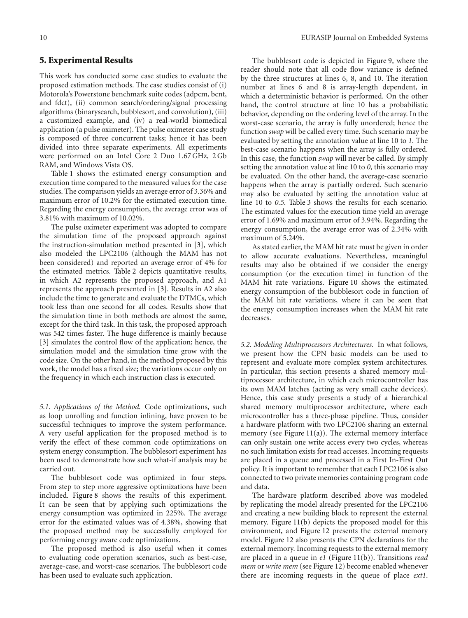#### **5. Experimental Results**

This work has conducted some case studies to evaluate the proposed estimation methods. The case studies consist of (i) Motorola's Powerstone benchmark suite codes (adpcm, bcnt, and fdct), (ii) common search/ordering/signal processing algorithms (binarysearch, bubblesort, and convolution), (iii) a customized example, and (iv) a real-world biomedical application (a pulse oximeter). The pulse oximeter case study is composed of three concurrent tasks; hence it has been divided into three separate experiments. All experiments were performed on an Intel Core 2 Duo 1.67 GHz, 2 Gb RAM, and Windows Vista OS.

Table 1 shows the estimated energy consumption and execution time compared to the measured values for the case studies. The comparison yields an average error of 3.36% and maximum error of 10.2% for the estimated execution time. Regarding the energy consumption, the average error was of 3.81% with maximum of 10.02%.

The pulse oximeter experiment was adopted to compare the simulation time of the proposed approach against the instruction-simulation method presented in [3], which also modeled the LPC2106 (although the MAM has not been considered) and reported an average error of 4% for the estimated metrics. Table 2 depicts quantitative results, in which A2 represents the proposed approach, and A1 represents the approach presented in [3]. Results in A2 also include the time to generate and evaluate the DTMCs, which took less than one second for all codes. Results show that the simulation time in both methods are almost the same, except for the third task. In this task, the proposed approach was 542 times faster. The huge difference is mainly because [3] simulates the control flow of the application; hence, the simulation model and the simulation time grow with the code size. On the other hand, in the method proposed by this work, the model has a fixed size; the variations occur only on the frequency in which each instruction class is executed.

*5.1. Applications of the Method.* Code optimizations, such as loop unrolling and function inlining, have proven to be successful techniques to improve the system performance. A very useful application for the proposed method is to verify the effect of these common code optimizations on system energy consumption. The bubblesort experiment has been used to demonstrate how such what-if analysis may be carried out.

The bubblesort code was optimized in four steps. From step to step more aggressive optimizations have been included. Figure 8 shows the results of this experiment. It can be seen that by applying such optimizations the energy consumption was optimized in 225%. The average error for the estimated values was of 4.38%, showing that the proposed method may be successfully employed for performing energy aware code optimizations.

The proposed method is also useful when it comes to evaluating code operation scenarios, such as best-case, average-case, and worst-case scenarios. The bubblesort code has been used to evaluate such application.

The bubblesort code is depicted in Figure 9, where the reader should note that all code flow variance is defined by the three structures at lines 6, 8, and 10. The iteration number at lines 6 and 8 is array-length dependent, in which a deterministic behavior is performed. On the other hand, the control structure at line 10 has a probabilistic behavior, depending on the ordering level of the array. In the worst-case scenario, the array is fully unordered; hence the function *swap* will be called every time. Such scenario may be evaluated by setting the annotation value at line 10 to *1*. The best-case scenario happens when the array is fully ordered. In this case, the function *swap* will never be called. By simply setting the annotation value at line 10 to *0*, this scenario may be evaluated. On the other hand, the average-case scenario happens when the array is partially ordered. Such scenario may also be evaluated by setting the annotation value at line 10 to *0.5*. Table 3 shows the results for each scenario. The estimated values for the execution time yield an average error of 1.69% and maximum error of 3.94%. Regarding the energy consumption, the average error was of 2.34% with maximum of 5.24%.

As stated earlier, the MAM hit rate must be given in order to allow accurate evaluations. Nevertheless, meaningful results may also be obtained if we consider the energy consumption (or the execution time) in function of the MAM hit rate variations. Figure 10 shows the estimated energy consumption of the bubblesort code in function of the MAM hit rate variations, where it can be seen that the energy consumption increases when the MAM hit rate decreases.

*5.2. Modeling Multiprocessors Architectures.* In what follows, we present how the CPN basic models can be used to represent and evaluate more complex system architectures. In particular, this section presents a shared memory multiprocessor architecture, in which each microcontroller has its own MAM latches (acting as very small cache devices). Hence, this case study presents a study of a hierarchical shared memory multiprocessor architecture, where each microcontroller has a three-phase pipeline. Thus, consider a hardware platform with two LPC2106 sharing an external memory (see Figure 11(a)). The external memory interface can only sustain one write access every two cycles, whereas no such limitation exists for read accesses. Incoming requests are placed in a queue and processed in a First In-First Out policy. It is important to remember that each LPC2106 is also connected to two private memories containing program code and data.

The hardware platform described above was modeled by replicating the model already presented for the LPC2106 and creating a new building block to represent the external memory. Figure 11(b) depicts the proposed model for this environment, and Figure 12 presents the external memory model. Figure 12 also presents the CPN declarations for the external memory. Incoming requests to the external memory are placed in a queue in *e1* (Figure 11(b)). Transitions *read mem* or *write mem* (see Figure 12) become enabled whenever there are incoming requests in the queue of place *ext1*.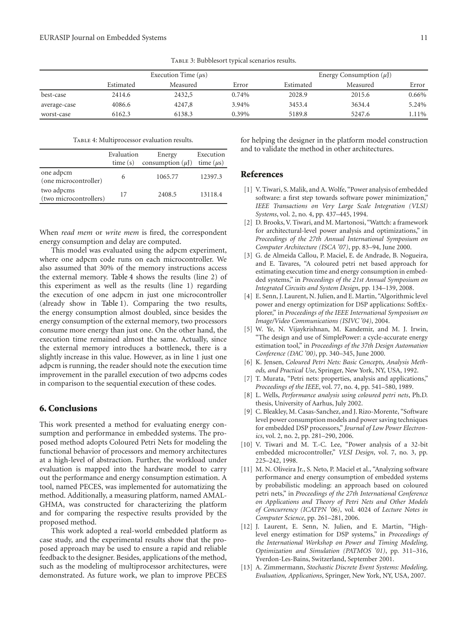|              | Execution Time $(\mu s)$ |          |       | Energy Consumption $(\mu J)$ |          |        |
|--------------|--------------------------|----------|-------|------------------------------|----------|--------|
|              | Estimated                | Measured | Error | Estimated                    | Measured | Error  |
| best-case    | 2414.6                   | 2432,5   | 0.74% | 2028.9                       | 2015.6   | 0.66%  |
| average-case | 4086.6                   | 4247,8   | 3.94% | 3453.4                       | 3634.4   | 5.24%  |
| worst-case   | 6162.3                   | 6138.3   | 0.39% | 5189.8                       | 5247.6   | $11\%$ |

TABLE 3: Bubblesort typical scenarios results.

TABLE 4: Multiprocessor evaluation results.

|                                      | Evaluation<br>time(s) | Energy<br>consumption $(\mu J)$ | Execution<br>time $(\mu s)$ |
|--------------------------------------|-----------------------|---------------------------------|-----------------------------|
| one adpcm<br>(one microcontroller)   | 6                     | 1065.77                         | 12397.3                     |
| two adpcms<br>(two microcontrollers) | 17                    | 2408.5                          | 13118.4                     |

When *read mem* or *write mem* is fired, the correspondent energy consumption and delay are computed.

This model was evaluated using the adpcm experiment, where one adpcm code runs on each microcontroller. We also assumed that 30% of the memory instructions access the external memory. Table 4 shows the results (line 2) of this experiment as well as the results (line 1) regarding the execution of one adpcm in just one microcontroller (already show in Table 1). Comparing the two results, the energy consumption almost doubled, since besides the energy consumption of the external memory, two processors consume more energy than just one. On the other hand, the execution time remained almost the same. Actually, since the external memory introduces a bottleneck, there is a slightly increase in this value. However, as in line 1 just one adpcm is running, the reader should note the execution time improvement in the parallel execution of two adpcms codes in comparison to the sequential execution of these codes.

#### **6. Conclusions**

This work presented a method for evaluating energy consumption and performance in embedded systems. The proposed method adopts Coloured Petri Nets for modeling the functional behavior of processors and memory architectures at a high-level of abstraction. Further, the workload under evaluation is mapped into the hardware model to carry out the performance and energy consumption estimation. A tool, named PECES, was implemented for automatizing the method. Additionally, a measuring platform, named AMAL-GHMA, was constructed for characterizing the platform and for comparing the respective results provided by the proposed method.

This work adopted a real-world embedded platform as case study, and the experimental results show that the proposed approach may be used to ensure a rapid and reliable feedback to the designer. Besides, applications of the method, such as the modeling of multiprocessor architectures, were demonstrated. As future work, we plan to improve PECES

for helping the designer in the platform model construction and to validate the method in other architectures.

#### **References**

- [1] V. Tiwari, S. Malik, and A. Wolfe, "Power analysis of embedded software: a first step towards software power minimization," *IEEE Transactions on Very Large Scale Integration (VLSI) Systems*, vol. 2, no. 4, pp. 437–445, 1994.
- [2] D. Brooks, V. Tiwari, and M. Martonosi, "Wattch: a framework for architectural-level power analysis and optimizations," in *Proceedings of the 27th Annual International Symposium on Computer Architecture (ISCA '07)*, pp. 83–94, June 2000.
- [3] G. de Almeida Callou, P. Maciel, E. de Andrade, B. Nogueira, and E. Tavares, "A coloured petri net based approach for estimating execution time and energy consumption in embedded systems," in *Proceedings of the 21st Annual Symposium on Integrated Circuits and System Design*, pp. 134–139, 2008.
- [4] E. Senn, J. Laurent, N. Julien, and E. Martin, "Algorithmic level power and energy optimization for DSP applications: SoftExplorer," in *Proceedings of the IEEE International Symposium on Image/Video Communications (ISIVC '04)*, 2004.
- [5] W. Ye, N. Vijaykrishnan, M. Kandemir, and M. J. Irwin, "The design and use of SimplePower: a cycle-accurate energy estimation tool," in *Proceedings of the 37th Design Automation Conference (DAC '00)*, pp. 340–345, June 2000.
- [6] K. Jensen, *Coloured Petri Nets: Basic Concepts, Analysis Methods, and Practical Use*, Springer, New York, NY, USA, 1992.
- [7] T. Murata, "Petri nets: properties, analysis and applications," *Proceedings of the IEEE*, vol. 77, no. 4, pp. 541–580, 1989.
- [8] L. Wells, *Performance analysis using coloured petri nets*, Ph.D. thesis, University of Aarhus, July 2002.
- [9] C. Bleakley, M. Casas-Sanchez, and J. Rizo-Morente, "Software level power consumption models and power saving techniques for embedded DSP processors," *Journal of Low Power Electronics*, vol. 2, no. 2, pp. 281–290, 2006.
- [10] V. Tiwari and M. T.-C. Lee, "Power analysis of a 32-bit embedded microcontroller," *VLSI Design*, vol. 7, no. 3, pp. 225–242, 1998.
- [11] M. N. Oliveira Jr., S. Neto, P. Maciel et al., "Analyzing software performance and energy consumption of embedded systems by probabilistic modeling: an approach based on coloured petri nets," in *Proceedings of the 27th International Conference on Applications and Theory of Petri Nets and Other Models of Concurrency (ICATPN '06)*, vol. 4024 of *Lecture Notes in Computer Science*, pp. 261–281, 2006.
- [12] J. Laurent, E. Senn, N. Julien, and E. Martin, "Highlevel energy estimation for DSP systems," in *Proceedings of the International Workshop on Power and Timing Modeling, Optimization and Simulation (PATMOS '01)*, pp. 311–316, Yverdon-Les-Bains, Switzerland, September 2001.
- [13] A. Zimmermann, *Stochastic Discrete Event Systems: Modeling, Evaluation, Applications*, Springer, New York, NY, USA, 2007.